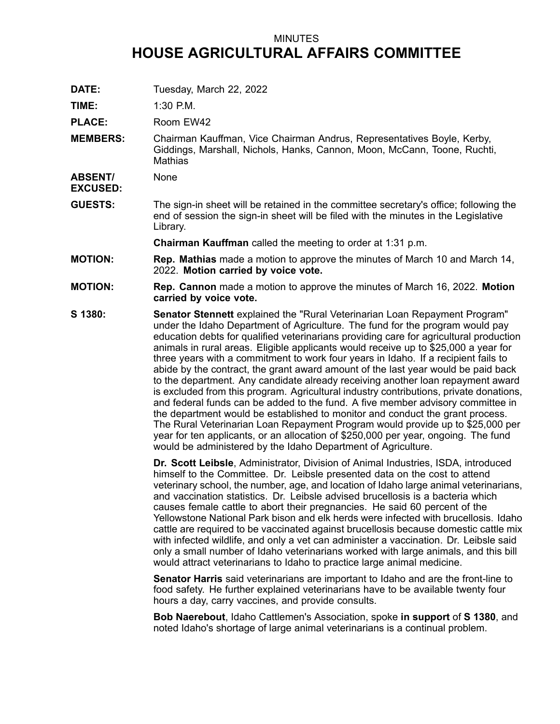## MINUTES **HOUSE AGRICULTURAL AFFAIRS COMMITTEE**

**DATE:** Tuesday, March 22, 2022

**TIME:** 1:30 P.M.

PLACE: Room EW42

**MEMBERS:** Chairman Kauffman, Vice Chairman Andrus, Representatives Boyle, Kerby, Giddings, Marshall, Nichols, Hanks, Cannon, Moon, McCann, Toone, Ruchti, **Mathias** 

**ABSENT/ None** 

**EXCUSED:**

**GUESTS:** The sign-in sheet will be retained in the committee secretary's office; following the end of session the sign-in sheet will be filed with the minutes in the Legislative Library.

**Chairman Kauffman** called the meeting to order at 1:31 p.m.

- **MOTION: Rep. Mathias** made <sup>a</sup> motion to approve the minutes of March 10 and March 14, 2022. **Motion carried by voice vote.**
- **MOTION: Rep. Cannon** made <sup>a</sup> motion to approve the minutes of March 16, 2022. **Motion carried by voice vote.**
- **S 1380: Senator Stennett** explained the "Rural Veterinarian Loan Repayment Program" under the Idaho Department of Agriculture. The fund for the program would pay education debts for qualified veterinarians providing care for agricultural production animals in rural areas. Eligible applicants would receive up to \$25,000 <sup>a</sup> year for three years with <sup>a</sup> commitment to work four years in Idaho. If <sup>a</sup> recipient fails to abide by the contract, the grant award amount of the last year would be paid back to the department. Any candidate already receiving another loan repayment award is excluded from this program. Agricultural industry contributions, private donations, and federal funds can be added to the fund. A five member advisory committee in the department would be established to monitor and conduct the grant process. The Rural Veterinarian Loan Repayment Program would provide up to \$25,000 per year for ten applicants, or an allocation of \$250,000 per year, ongoing. The fund would be administered by the Idaho Department of Agriculture.

**Dr. Scott Leibsle**, Administrator, Division of Animal Industries, ISDA, introduced himself to the Committee. Dr. Leibsle presented data on the cost to attend veterinary school, the number, age, and location of Idaho large animal veterinarians, and vaccination statistics. Dr. Leibsle advised brucellosis is a bacteria which causes female cattle to abort their pregnancies. He said 60 percent of the Yellowstone National Park bison and elk herds were infected with brucellosis. Idaho cattle are required to be vaccinated against brucellosis because domestic cattle mix with infected wildlife, and only <sup>a</sup> vet can administer <sup>a</sup> vaccination. Dr. Leibsle said only <sup>a</sup> small number of Idaho veterinarians worked with large animals, and this bill would attract veterinarians to Idaho to practice large animal medicine.

**Senator Harris** said veterinarians are important to Idaho and are the front-line to food safety. He further explained veterinarians have to be available twenty four hours <sup>a</sup> day, carry vaccines, and provide consults.

**Bob Naerebout**, Idaho Cattlemen's Association, spoke **in support** of **S 1380**, and noted Idaho's shortage of large animal veterinarians is <sup>a</sup> continual problem.